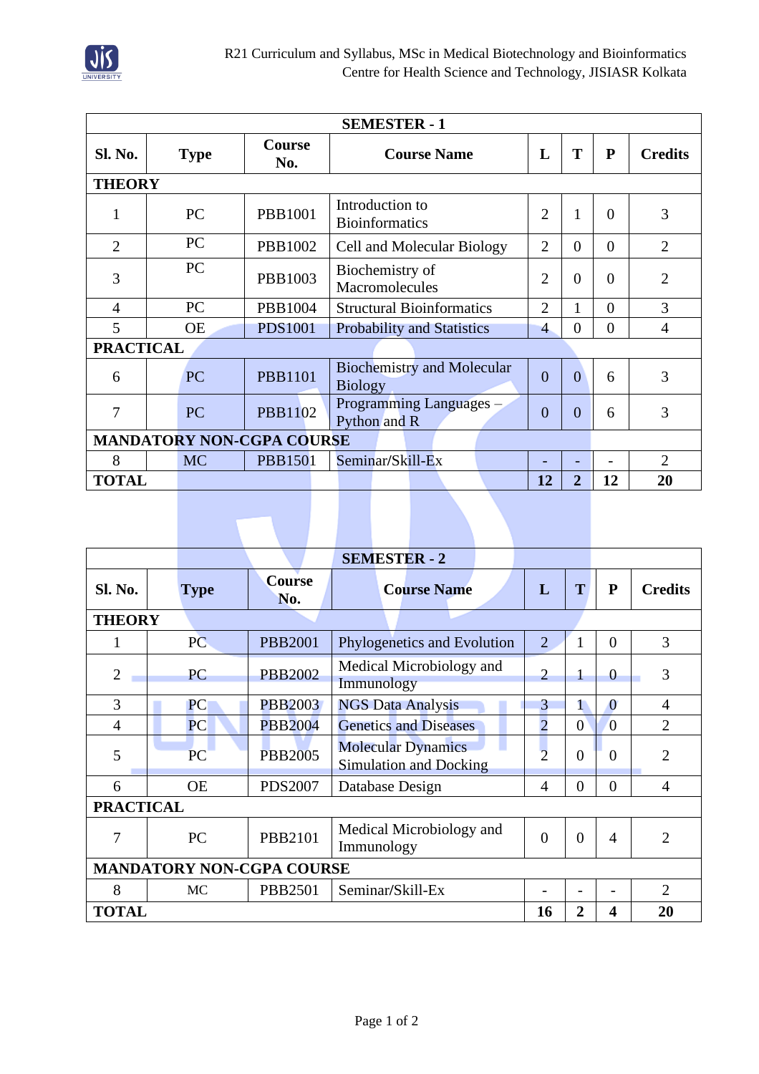

| <b>SEMESTER - 1</b>              |             |                      |                                                     |                |                |              |                |  |  |
|----------------------------------|-------------|----------------------|-----------------------------------------------------|----------------|----------------|--------------|----------------|--|--|
| <b>Sl. No.</b>                   | <b>Type</b> | <b>Course</b><br>No. | <b>Course Name</b>                                  | L              | T              | $\mathbf{P}$ | <b>Credits</b> |  |  |
| <b>THEORY</b>                    |             |                      |                                                     |                |                |              |                |  |  |
|                                  | PC          | <b>PBB1001</b>       | Introduction to<br><b>Bioinformatics</b>            | $\overline{2}$ | 1              | $\Omega$     | 3              |  |  |
| 2                                | PC          | PBB1002              | Cell and Molecular Biology                          | 2              | $\Omega$       | $\Omega$     | $\overline{2}$ |  |  |
| 3                                | PC          | PBB1003              | Biochemistry of<br>Macromolecules                   | $\overline{2}$ | $\Omega$       | $\Omega$     | $\overline{2}$ |  |  |
| $\overline{4}$                   | PC          | PBB1004              | <b>Structural Bioinformatics</b>                    | $\overline{2}$ | 1              | $\Omega$     | 3              |  |  |
| 5                                | <b>OE</b>   | <b>PDS1001</b>       | <b>Probability and Statistics</b>                   | $\overline{4}$ | $\Omega$       | $\Omega$     | $\overline{4}$ |  |  |
| <b>PRACTICAL</b>                 |             |                      |                                                     |                |                |              |                |  |  |
| 6                                | <b>PC</b>   | <b>PBB1101</b>       | <b>Biochemistry and Molecular</b><br><b>Biology</b> | $\overline{0}$ | $\theta$       | 6            | 3              |  |  |
| 7                                | <b>PC</b>   | <b>PBB1102</b>       | Programming Languages -<br>Python and R             | $\theta$       | $\overline{0}$ | 6            | 3              |  |  |
| <b>MANDATORY NON-CGPA COURSE</b> |             |                      |                                                     |                |                |              |                |  |  |
| 8                                | <b>MC</b>   | <b>PBB1501</b>       | Seminar/Skill-Ex                                    |                |                |              | $\overline{2}$ |  |  |
| <b>TOTAL</b>                     |             |                      |                                                     | 12             | $\overline{2}$ | 12           | 20             |  |  |

|                                  |                  |                      | <b>SEMESTER - 2</b>                                        |                |                |                |                |  |  |
|----------------------------------|------------------|----------------------|------------------------------------------------------------|----------------|----------------|----------------|----------------|--|--|
| Sl. No.                          | <b>Type</b>      | <b>Course</b><br>No. | <b>Course Name</b>                                         | L              | T              | ${\bf P}$      | <b>Credits</b> |  |  |
| <b>THEORY</b>                    |                  |                      |                                                            |                |                |                |                |  |  |
| 1                                | PC               | <b>PBB2001</b>       | Phylogenetics and Evolution                                | $\overline{2}$ | 1              | $\Omega$       | 3              |  |  |
| $\overline{2}$                   | <b>PC</b>        | <b>PBB2002</b>       | Medical Microbiology and<br>Immunology                     | $\overline{2}$ |                | $\theta$       | 3              |  |  |
| 3                                | PC               | <b>PBB2003</b>       | <b>NGS Data Analysis</b>                                   | 3              | 1              | $\overline{0}$ | $\overline{4}$ |  |  |
| $\overline{4}$                   | <b>PC</b>        | <b>PBB2004</b>       | <b>Genetics and Diseases</b>                               | $\overline{2}$ | $\Omega$       | $\overline{0}$ | $\overline{2}$ |  |  |
| 5                                | PC               | <b>PBB2005</b>       | <b>Molecular Dynamics</b><br><b>Simulation and Docking</b> | $\overline{2}$ | $\overline{0}$ | $\Omega$       | $\overline{2}$ |  |  |
| 6                                | <b>OE</b>        | <b>PDS2007</b>       | Database Design                                            | $\overline{4}$ | $\overline{0}$ | $\theta$       | $\overline{4}$ |  |  |
|                                  | <b>PRACTICAL</b> |                      |                                                            |                |                |                |                |  |  |
| 7                                | <b>PC</b>        | PBB2101              | Medical Microbiology and<br>Immunology                     | $\overline{0}$ | $\theta$       | $\overline{4}$ | $\overline{2}$ |  |  |
| <b>MANDATORY NON-CGPA COURSE</b> |                  |                      |                                                            |                |                |                |                |  |  |
| 8                                | <b>MC</b>        | PBB2501              | Seminar/Skill-Ex                                           |                |                |                | $\overline{2}$ |  |  |
| <b>TOTAL</b>                     |                  |                      |                                                            | 16             | $\overline{2}$ | 4              | 20             |  |  |